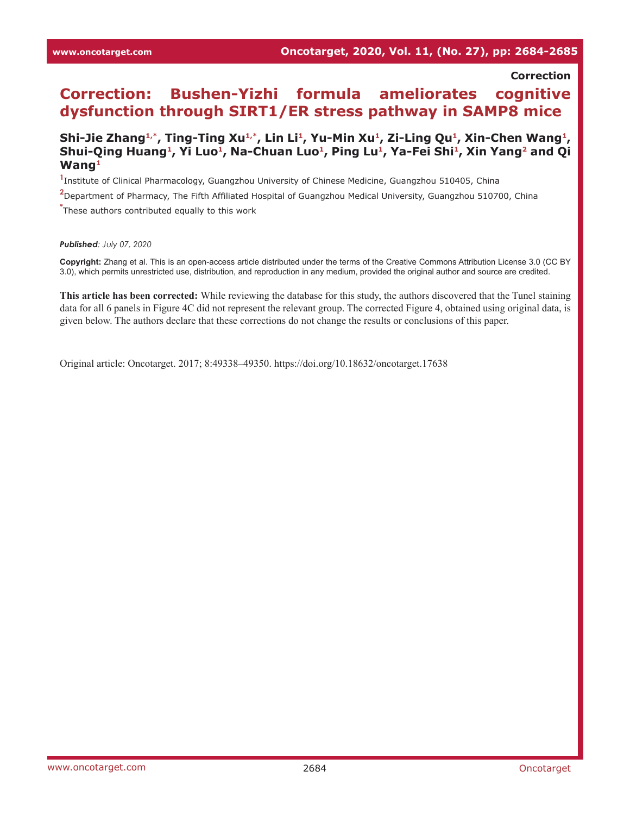## **Correction**

## **Correction: Bushen-Yizhi formula ameliorates cognitive dysfunction through SIRT1/ER stress pathway in SAMP8 mice**

## Shi-Jie Zhang<sup>1,\*</sup>, Ting-Ting Xu<sup>1,\*</sup>, Lin Li<sup>1</sup>, Yu-Min Xu<sup>1</sup>, Zi-Ling Qu<sup>1</sup>, Xin-Chen Wang<sup>1</sup>, Shui-Qing Huang<sup>1</sup>, Yi Luo<sup>1</sup>, Na-Chuan Luo<sup>1</sup>, Ping Lu<sup>1</sup>, Ya-Fei Shi<sup>1</sup>, Xin Yang<sup>2</sup> and Qi **Wang1**

**1** Institute of Clinical Pharmacology, Guangzhou University of Chinese Medicine, Guangzhou 510405, China

**2** Department of Pharmacy, The Fifth Affiliated Hospital of Guangzhou Medical University, Guangzhou 510700, China

**\*** These authors contributed equally to this work

*Published: July 07, 2020*

**Copyright:** Zhang et al. This is an open-access article distributed under the terms of the Creative Commons Attribution License 3.0 (CC BY 3.0), which permits unrestricted use, distribution, and reproduction in any medium, provided the original author and source are credited.

**This article has been corrected:** While reviewing the database for this study, the authors discovered that the Tunel staining data for all 6 panels in Figure 4C did not represent the relevant group. The corrected Figure 4, obtained using original data, is given below. The authors declare that these corrections do not change the results or conclusions of this paper.

Original article: Oncotarget. 2017; 8:49338–49350. <https://doi.org/10.18632/oncotarget.17638>